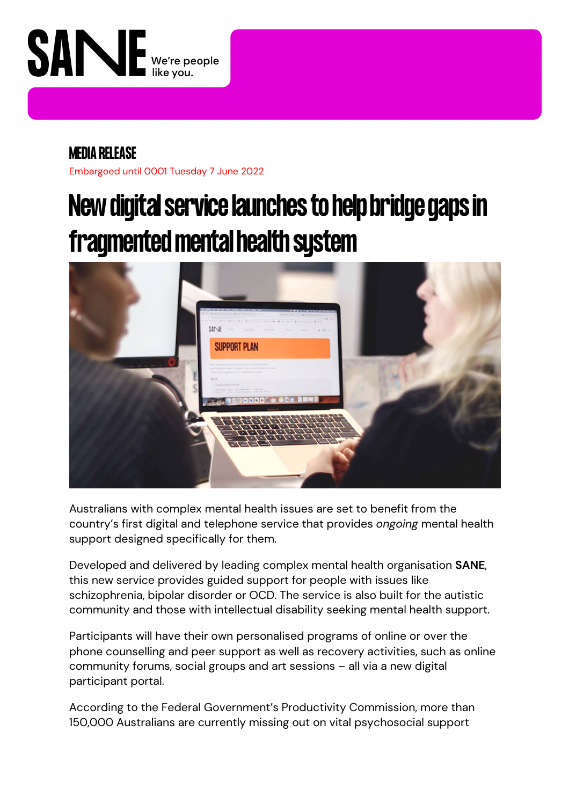

# **MEDIA RELEASE**

Embargoed until 0001 Tuesday 7 June 2022

# **New digital service launches to help bridge gaps in fragmented mental health system**



Australians with complex mental health issues are set to benefit from the country's first digital and telephone service that provides *ongoing* mental health support designed specifically for them.

Developed and delivered by leading complex mental health organisation **SANE**, this new service provides guided support for people with issues like schizophrenia, bipolar disorder or OCD. The service is also built for the autistic community and those with intellectual disability seeking mental health support.

Participants will have their own personalised programs of online or over the phone counselling and peer support as well as recovery activities, such as online community forums, social groups and art sessions – all via a new digital participant portal.

According to the Federal Government's Productivity Commission, more than 150,000 Australians are currently missing out on vital psychosocial support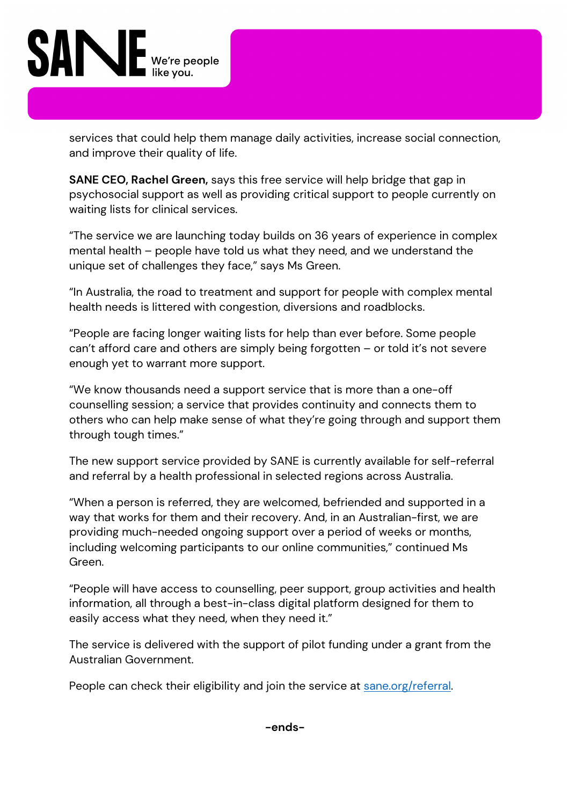

services that could help them manage daily activities, increase social connection, and improve their quality of life.

**SANE CEO, Rachel Green,** says this free service will help bridge that gap in psychosocial support as well as providing critical support to people currently on waiting lists for clinical services.

"The service we are launching today builds on 36 years of experience in complex mental health – people have told us what they need, and we understand the unique set of challenges they face," says Ms Green.

"In Australia, the road to treatment and support for people with complex mental health needs is littered with congestion, diversions and roadblocks.

"People are facing longer waiting lists for help than ever before. Some people can't afford care and others are simply being forgotten – or told it's not severe enough yet to warrant more support.

"We know thousands need a support service that is more than a one-off counselling session; a service that provides continuity and connects them to others who can help make sense of what they're going through and support them through tough times."

The new support service provided by SANE is currently available for self-referral and referral by a health professional in selected regions across Australia.

"When a person is referred, they are welcomed, befriended and supported in a way that works for them and their recovery. And, in an Australian-first, we are providing much-needed ongoing support over a period of weeks or months, including welcoming participants to our online communities," continued Ms Green.

"People will have access to counselling, peer support, group activities and health information, all through a best-in-class digital platform designed for them to easily access what they need, when they need it."

The service is delivered with the support of pilot funding under a grant from the Australian Government.

People can check their eligibility and join the service at sane.org/referral.

**-ends-**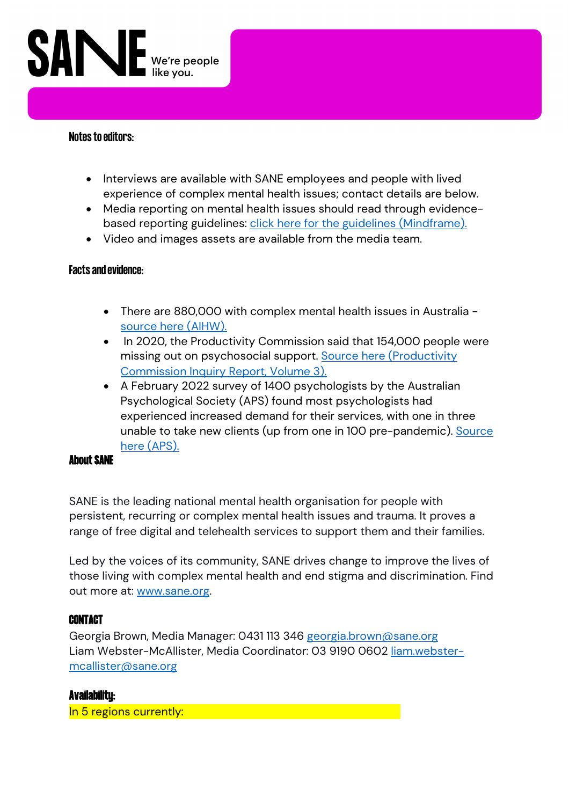

#### **Notes to editors:**

- Interviews are available with SANE employees and people with lived experience of complex mental health issues; contact details are below.
- Media reporting on mental health issues should read through evidencebased reporting guidelines: *click here for the guidelines (Mindframe)*.
- Video and images assets are available from the media team.

#### **Facts and evidence:**

- There are 880,000 with complex mental health issues in Australia source here (AIHW).
- In 2020, the Productivity Commission said that 154,000 people were missing out on psychosocial support. Source here (Productivity Commission Inquiry Report, Volume 3).
- A February 2022 survey of 1400 psychologists by the Australian Psychological Society (APS) found most psychologists had experienced increased demand for their services, with one in three unable to take new clients (up from one in 100 pre-pandemic). Source here (APS).

#### **About SANE**

SANE is the leading national mental health organisation for people with persistent, recurring or complex mental health issues and trauma. It proves a range of free digital and telehealth services to support them and their families.

Led by the voices of its community, SANE drives change to improve the lives of those living with complex mental health and end stigma and discrimination. Find out more at: www.sane.org.

#### **CONTACT**

Georgia Brown, Media Manager: 0431 113 346 georgia.brown@sane.org Liam Webster-McAllister, Media Coordinator: 03 9190 0602 liam.webstermcallister@sane.org

#### **Availability:**

In 5 regions currently: